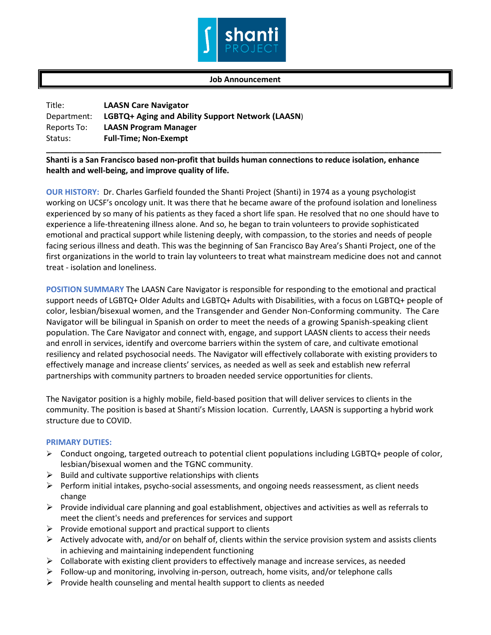

## **Job Announcement**

| Title:      | <b>LAASN Care Navigator</b>                      |
|-------------|--------------------------------------------------|
| Department: | LGBTQ+ Aging and Ability Support Network (LAASN) |
| Reports To: | <b>LAASN Program Manager</b>                     |
| Status:     | <b>Full-Time; Non-Exempt</b>                     |

## **Shanti is a San Francisco based non-profit that builds human connections to reduce isolation, enhance health and well-being, and improve quality of life.**

**\_\_\_\_\_\_\_\_\_\_\_\_\_\_\_\_\_\_\_\_\_\_\_\_\_\_\_\_\_\_\_\_\_\_\_\_\_\_\_\_\_\_\_\_\_\_\_\_\_\_\_\_\_\_\_\_\_\_\_\_\_\_\_\_\_\_\_\_\_\_\_\_\_\_\_\_\_\_\_\_\_\_\_\_\_\_\_\_\_\_**

**OUR HISTORY:** Dr. Charles Garfield founded the Shanti Project (Shanti) in 1974 as a young psychologist working on UCSF's oncology unit. It was there that he became aware of the profound isolation and loneliness experienced by so many of his patients as they faced a short life span. He resolved that no one should have to experience a life-threatening illness alone. And so, he began to train volunteers to provide sophisticated emotional and practical support while listening deeply, with compassion, to the stories and needs of people facing serious illness and death. This was the beginning of San Francisco Bay Area's Shanti Project, one of the first organizations in the world to train lay volunteers to treat what mainstream medicine does not and cannot treat - isolation and loneliness.

**POSITION SUMMARY** The LAASN Care Navigator is responsible for responding to the emotional and practical support needs of LGBTQ+ Older Adults and LGBTQ+ Adults with Disabilities, with a focus on LGBTQ+ people of color, lesbian/bisexual women, and the Transgender and Gender Non-Conforming community. The Care Navigator will be bilingual in Spanish on order to meet the needs of a growing Spanish-speaking client population. The Care Navigator and connect with, engage, and support LAASN clients to access their needs and enroll in services, identify and overcome barriers within the system of care, and cultivate emotional resiliency and related psychosocial needs. The Navigator will effectively collaborate with existing providers to effectively manage and increase clients' services, as needed as well as seek and establish new referral partnerships with community partners to broaden needed service opportunities for clients.

The Navigator position is a highly mobile, field-based position that will deliver services to clients in the community. The position is based at Shanti's Mission location. Currently, LAASN is supporting a hybrid work structure due to COVID.

## **PRIMARY DUTIES:**

- $\triangleright$  Conduct ongoing, targeted outreach to potential client populations including LGBTQ+ people of color, lesbian/bisexual women and the TGNC community.
- $\triangleright$  Build and cultivate supportive relationships with clients
- $\triangleright$  Perform initial intakes, psycho-social assessments, and ongoing needs reassessment, as client needs change
- $\triangleright$  Provide individual care planning and goal establishment, objectives and activities as well as referrals to meet the client's needs and preferences for services and support
- $\triangleright$  Provide emotional support and practical support to clients
- $\triangleright$  Actively advocate with, and/or on behalf of, clients within the service provision system and assists clients in achieving and maintaining independent functioning
- $\triangleright$  Collaborate with existing client providers to effectively manage and increase services, as needed
- $\triangleright$  Follow-up and monitoring, involving in-person, outreach, home visits, and/or telephone calls
- $\triangleright$  Provide health counseling and mental health support to clients as needed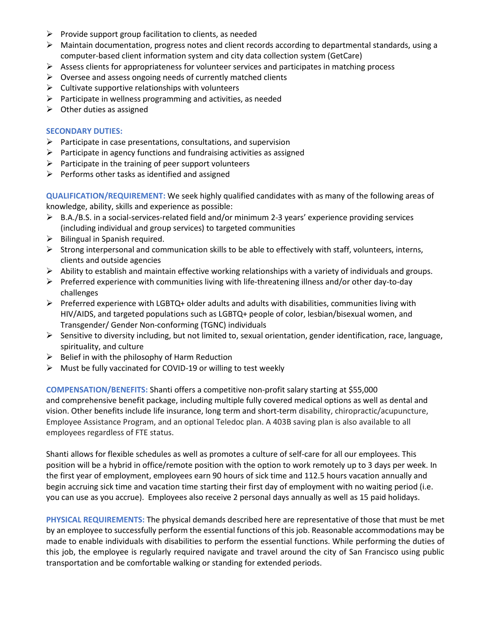- $\triangleright$  Provide support group facilitation to clients, as needed
- $\triangleright$  Maintain documentation, progress notes and client records according to departmental standards, using a computer-based client information system and city data collection system (GetCare)
- $\triangleright$  Assess clients for appropriateness for volunteer services and participates in matching process
- $\triangleright$  Oversee and assess ongoing needs of currently matched clients
- $\triangleright$  Cultivate supportive relationships with volunteers
- $\triangleright$  Participate in wellness programming and activities, as needed
- $\triangleright$  Other duties as assigned

## **SECONDARY DUTIES:**

- $\triangleright$  Participate in case presentations, consultations, and supervision
- $\triangleright$  Participate in agency functions and fundraising activities as assigned
- $\triangleright$  Participate in the training of peer support volunteers
- $\triangleright$  Performs other tasks as identified and assigned

**QUALIFICATION/REQUIREMENT:** We seek highly qualified candidates with as many of the following areas of knowledge, ability, skills and experience as possible:

- $\triangleright$  B.A./B.S. in a social-services-related field and/or minimum 2-3 years' experience providing services (including individual and group services) to targeted communities
- $\triangleright$  Bilingual in Spanish required.
- $\triangleright$  Strong interpersonal and communication skills to be able to effectively with staff, volunteers, interns, clients and outside agencies
- $\triangleright$  Ability to establish and maintain effective working relationships with a variety of individuals and groups.
- $\triangleright$  Preferred experience with communities living with life-threatening illness and/or other day-to-day challenges
- $\triangleright$  Preferred experience with LGBTQ+ older adults and adults with disabilities, communities living with HIV/AIDS, and targeted populations such as LGBTQ+ people of color, lesbian/bisexual women, and Transgender/ Gender Non-conforming (TGNC) individuals
- $\triangleright$  Sensitive to diversity including, but not limited to, sexual orientation, gender identification, race, language, spirituality, and culture
- $\triangleright$  Belief in with the philosophy of Harm Reduction
- $\triangleright$  Must be fully vaccinated for COVID-19 or willing to test weekly

**COMPENSATION/BENEFITS:** Shanti offers a competitive non-profit salary starting at \$55,000 and comprehensive benefit package, including multiple fully covered medical options as well as dental and vision. Other benefits include life insurance, long term and short-term disability, chiropractic/acupuncture, Employee Assistance Program, and an optional Teledoc plan. A 403B saving plan is also available to all employees regardless of FTE status.

Shanti allows for flexible schedules as well as promotes a culture of self-care for all our employees. This position will be a hybrid in office/remote position with the option to work remotely up to 3 days per week. In the first year of employment, employees earn 90 hours of sick time and 112.5 hours vacation annually and begin accruing sick time and vacation time starting their first day of employment with no waiting period (i.e. you can use as you accrue). Employees also receive 2 personal days annually as well as 15 paid holidays.

**PHYSICAL REQUIREMENTS:** The physical demands described here are representative of those that must be met by an employee to successfully perform the essential functions of this job. Reasonable accommodations may be made to enable individuals with disabilities to perform the essential functions. While performing the duties of this job, the employee is regularly required navigate and travel around the city of San Francisco using public transportation and be comfortable walking or standing for extended periods.